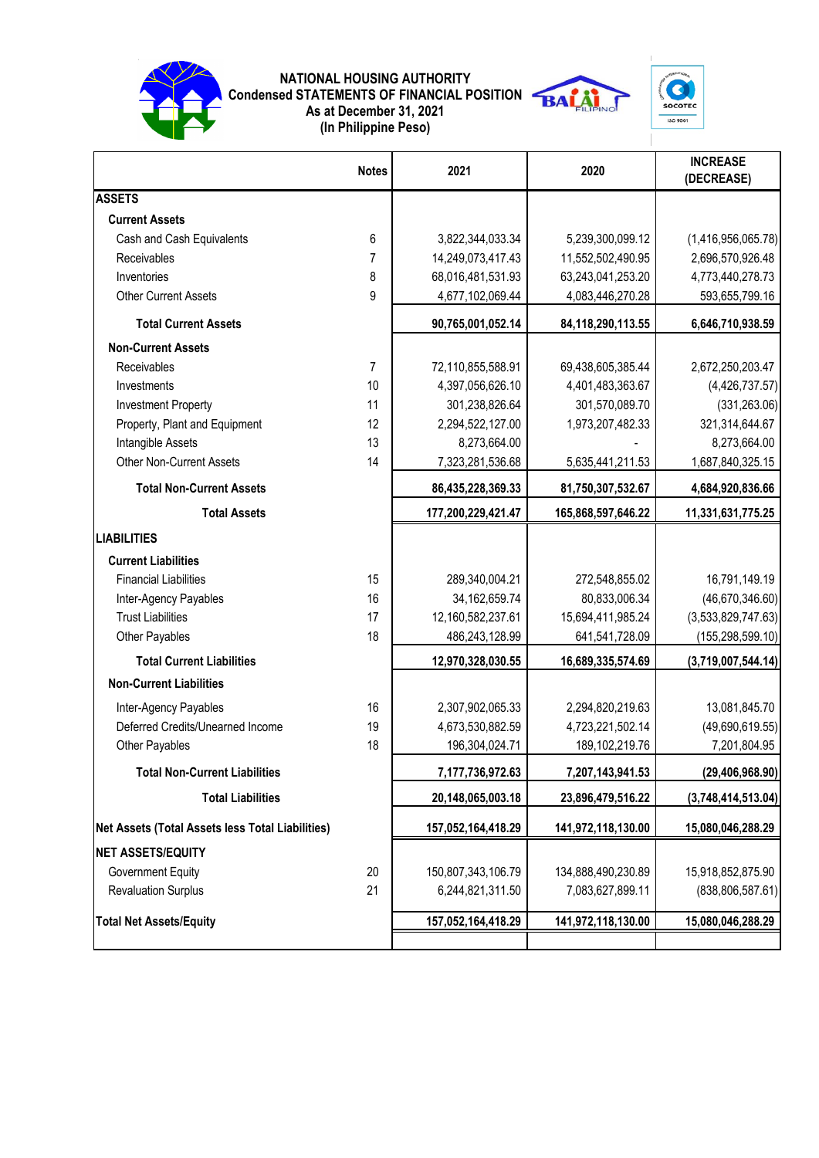

## **NATIONAL HOUSING AUTHORITY Condensed STATEMENTS OF FINANCIAL POSITION As at December 31, 2021 (In Philippine Peso)**



|                                                         | <b>Notes</b>   | 2021                 | 2020               | <b>INCREASE</b><br>(DECREASE) |
|---------------------------------------------------------|----------------|----------------------|--------------------|-------------------------------|
| <b>ASSETS</b>                                           |                |                      |                    |                               |
| <b>Current Assets</b>                                   |                |                      |                    |                               |
| Cash and Cash Equivalents                               | 6              | 3,822,344,033.34     | 5,239,300,099.12   | (1,416,956,065.78)            |
| Receivables                                             | 7              | 14,249,073,417.43    | 11,552,502,490.95  | 2,696,570,926.48              |
| Inventories                                             | 8              | 68,016,481,531.93    | 63,243,041,253.20  | 4,773,440,278.73              |
| <b>Other Current Assets</b>                             | 9              | 4,677,102,069.44     | 4,083,446,270.28   | 593,655,799.16                |
| <b>Total Current Assets</b>                             |                | 90,765,001,052.14    | 84,118,290,113.55  | 6,646,710,938.59              |
| <b>Non-Current Assets</b>                               |                |                      |                    |                               |
| Receivables                                             | $\overline{7}$ | 72,110,855,588.91    | 69,438,605,385.44  | 2,672,250,203.47              |
| Investments                                             | 10             | 4,397,056,626.10     | 4,401,483,363.67   | (4,426,737.57)                |
| <b>Investment Property</b>                              | 11             | 301,238,826.64       | 301,570,089.70     | (331, 263.06)                 |
| Property, Plant and Equipment                           | 12             | 2,294,522,127.00     | 1,973,207,482.33   | 321,314,644.67                |
| Intangible Assets                                       | 13             | 8,273,664.00         |                    | 8,273,664.00                  |
| <b>Other Non-Current Assets</b>                         | 14             | 7,323,281,536.68     | 5,635,441,211.53   | 1,687,840,325.15              |
| <b>Total Non-Current Assets</b>                         |                | 86,435,228,369.33    | 81,750,307,532.67  | 4,684,920,836.66              |
| <b>Total Assets</b>                                     |                | 177,200,229,421.47   | 165,868,597,646.22 | 11,331,631,775.25             |
| <b>LIABILITIES</b>                                      |                |                      |                    |                               |
| <b>Current Liabilities</b>                              |                |                      |                    |                               |
| <b>Financial Liabilities</b>                            | 15             | 289,340,004.21       | 272,548,855.02     | 16,791,149.19                 |
| Inter-Agency Payables                                   | 16             | 34, 162, 659. 74     | 80,833,006.34      | (46, 670, 346.60)             |
| <b>Trust Liabilities</b>                                | 17             | 12,160,582,237.61    | 15,694,411,985.24  | (3,533,829,747.63)            |
| Other Payables                                          | 18             | 486,243,128.99       | 641,541,728.09     | (155, 298, 599.10)            |
| <b>Total Current Liabilities</b>                        |                | 12,970,328,030.55    | 16,689,335,574.69  | (3,719,007,544.14)            |
| <b>Non-Current Liabilities</b>                          |                |                      |                    |                               |
| Inter-Agency Payables                                   | 16             | 2,307,902,065.33     | 2,294,820,219.63   | 13,081,845.70                 |
| Deferred Credits/Unearned Income                        | 19             | 4,673,530,882.59     | 4,723,221,502.14   | (49,690,619.55)               |
| Other Payables                                          | 18             | 196,304,024.71       | 189, 102, 219. 76  | 7,201,804.95                  |
| <b>Total Non-Current Liabilities</b>                    |                | 7, 177, 736, 972. 63 | 7,207,143,941.53   | (29, 406, 968.90)             |
| <b>Total Liabilities</b>                                |                | 20,148,065,003.18    | 23,896,479,516.22  | (3,748,414,513.04)            |
| <b>Net Assets (Total Assets less Total Liabilities)</b> |                | 157,052,164,418.29   | 141,972,118,130.00 | 15,080,046,288.29             |
| <b>NET ASSETS/EQUITY</b>                                |                |                      |                    |                               |
| <b>Government Equity</b>                                | 20             | 150,807,343,106.79   | 134,888,490,230.89 | 15,918,852,875.90             |
| <b>Revaluation Surplus</b>                              | 21             | 6,244,821,311.50     | 7,083,627,899.11   | (838, 806, 587.61)            |
| <b>Total Net Assets/Equity</b>                          |                | 157,052,164,418.29   | 141,972,118,130.00 | 15,080,046,288.29             |
|                                                         |                |                      |                    |                               |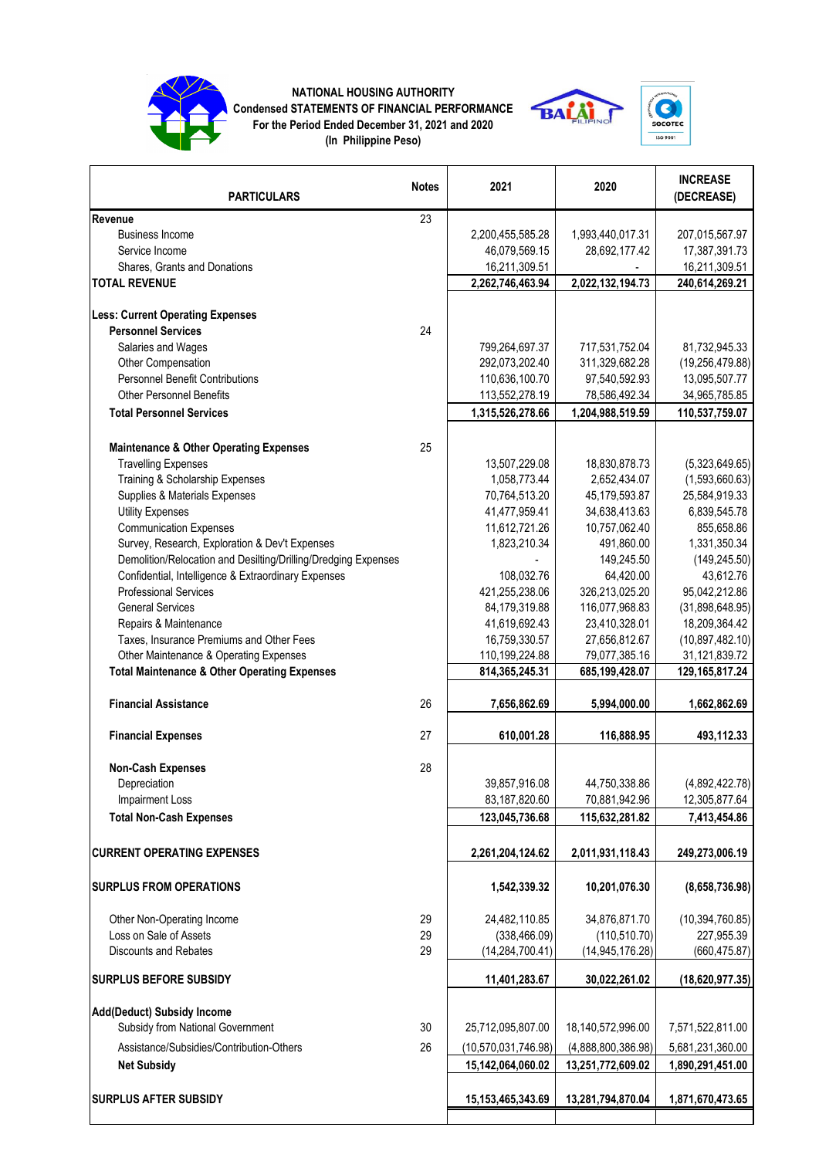

## **NATIONAL HOUSING AUTHORITY Condensed STATEMENTS OF FINANCIAL PERFORMANCE For the Period Ended December 31, 2021 and 2020**







| <b>PARTICULARS</b>                                             | <b>Notes</b> | 2021                  | 2020               | <b>INCREASE</b><br>(DECREASE) |
|----------------------------------------------------------------|--------------|-----------------------|--------------------|-------------------------------|
| Revenue                                                        | 23           |                       |                    |                               |
| <b>Business Income</b>                                         |              | 2,200,455,585.28      | 1,993,440,017.31   | 207,015,567.97                |
| Service Income                                                 |              | 46,079,569.15         | 28,692,177.42      | 17,387,391.73                 |
| Shares, Grants and Donations                                   |              | 16,211,309.51         |                    | 16,211,309.51                 |
| <b>TOTAL REVENUE</b>                                           |              | 2,262,746,463.94      | 2,022,132,194.73   | 240,614,269.21                |
| <b>Less: Current Operating Expenses</b>                        |              |                       |                    |                               |
| <b>Personnel Services</b>                                      | 24           |                       |                    |                               |
| Salaries and Wages                                             |              | 799,264,697.37        | 717,531,752.04     | 81,732,945.33                 |
| Other Compensation                                             |              | 292,073,202.40        | 311,329,682.28     | (19, 256, 479.88)             |
| <b>Personnel Benefit Contributions</b>                         |              | 110,636,100.70        | 97,540,592.93      | 13,095,507.77                 |
| <b>Other Personnel Benefits</b>                                |              | 113,552,278.19        | 78,586,492.34      | 34,965,785.85                 |
| <b>Total Personnel Services</b>                                |              | 1,315,526,278.66      | 1,204,988,519.59   | 110,537,759.07                |
|                                                                |              |                       |                    |                               |
| <b>Maintenance &amp; Other Operating Expenses</b>              | 25           |                       |                    |                               |
| <b>Travelling Expenses</b>                                     |              | 13,507,229.08         | 18,830,878.73      | (5,323,649.65)                |
| Training & Scholarship Expenses                                |              | 1,058,773.44          | 2,652,434.07       | (1,593,660.63)                |
| Supplies & Materials Expenses                                  |              | 70,764,513.20         | 45,179,593.87      | 25,584,919.33                 |
| <b>Utility Expenses</b>                                        |              | 41,477,959.41         | 34,638,413.63      | 6,839,545.78                  |
| <b>Communication Expenses</b>                                  |              | 11,612,721.26         | 10,757,062.40      | 855,658.86                    |
| Survey, Research, Exploration & Dev't Expenses                 |              | 1,823,210.34          | 491,860.00         | 1,331,350.34                  |
| Demolition/Relocation and Desilting/Drilling/Dredging Expenses |              |                       | 149,245.50         | (149, 245.50)                 |
| Confidential, Intelligence & Extraordinary Expenses            |              | 108,032.76            | 64,420.00          | 43,612.76                     |
| <b>Professional Services</b>                                   |              | 421,255,238.06        | 326,213,025.20     | 95,042,212.86                 |
| <b>General Services</b>                                        |              | 84,179,319.88         | 116,077,968.83     | (31,898,648.95)               |
| Repairs & Maintenance                                          |              | 41,619,692.43         | 23,410,328.01      | 18,209,364.42                 |
| Taxes, Insurance Premiums and Other Fees                       |              | 16,759,330.57         | 27,656,812.67      | (10, 897, 482.10)             |
| Other Maintenance & Operating Expenses                         |              | 110,199,224.88        | 79,077,385.16      | 31,121,839.72                 |
| <b>Total Maintenance &amp; Other Operating Expenses</b>        |              | 814, 365, 245. 31     | 685,199,428.07     | 129, 165, 817. 24             |
| <b>Financial Assistance</b>                                    | 26           | 7,656,862.69          | 5,994,000.00       | 1,662,862.69                  |
| <b>Financial Expenses</b>                                      | 27           | 610,001.28            | 116,888.95         | 493,112.33                    |
| <b>Non-Cash Expenses</b>                                       | 28           |                       |                    |                               |
| Depreciation                                                   |              | 39,857,916.08         | 44,750,338.86      | (4,892,422.78)                |
| <b>Impairment Loss</b>                                         |              | 83,187,820.60         | 70,881,942.96      | 12,305,877.64                 |
| <b>Total Non-Cash Expenses</b>                                 |              | 123,045,736.68        | 115,632,281.82     | 7,413,454.86                  |
|                                                                |              |                       |                    |                               |
| <b>CURRENT OPERATING EXPENSES</b>                              |              | 2,261,204,124.62      | 2,011,931,118.43   | 249,273,006.19                |
| <b>SURPLUS FROM OPERATIONS</b>                                 |              | 1,542,339.32          | 10,201,076.30      | (8,658,736.98)                |
| Other Non-Operating Income                                     | 29           | 24,482,110.85         | 34,876,871.70      | (10, 394, 760.85)             |
| Loss on Sale of Assets                                         | 29           | (338, 466.09)         | (110, 510.70)      | 227,955.39                    |
| <b>Discounts and Rebates</b>                                   | 29           | (14, 284, 700.41)     | (14, 945, 176.28)  | (660, 475.87)                 |
| <b>SURPLUS BEFORE SUBSIDY</b>                                  |              | 11,401,283.67         | 30,022,261.02      | (18,620,977.35)               |
| <b>Add(Deduct) Subsidy Income</b>                              |              |                       |                    |                               |
| Subsidy from National Government                               | 30           | 25,712,095,807.00     | 18,140,572,996.00  | 7,571,522,811.00              |
| Assistance/Subsidies/Contribution-Others                       | 26           | (10,570,031,746.98)   | (4,888,800,386.98) | 5,681,231,360.00              |
| <b>Net Subsidy</b>                                             |              | 15,142,064,060.02     | 13,251,772,609.02  | 1,890,291,451.00              |
| <b>SURPLUS AFTER SUBSIDY</b>                                   |              | 15, 153, 465, 343. 69 | 13,281,794,870.04  | 1,871,670,473.65              |
|                                                                |              |                       |                    |                               |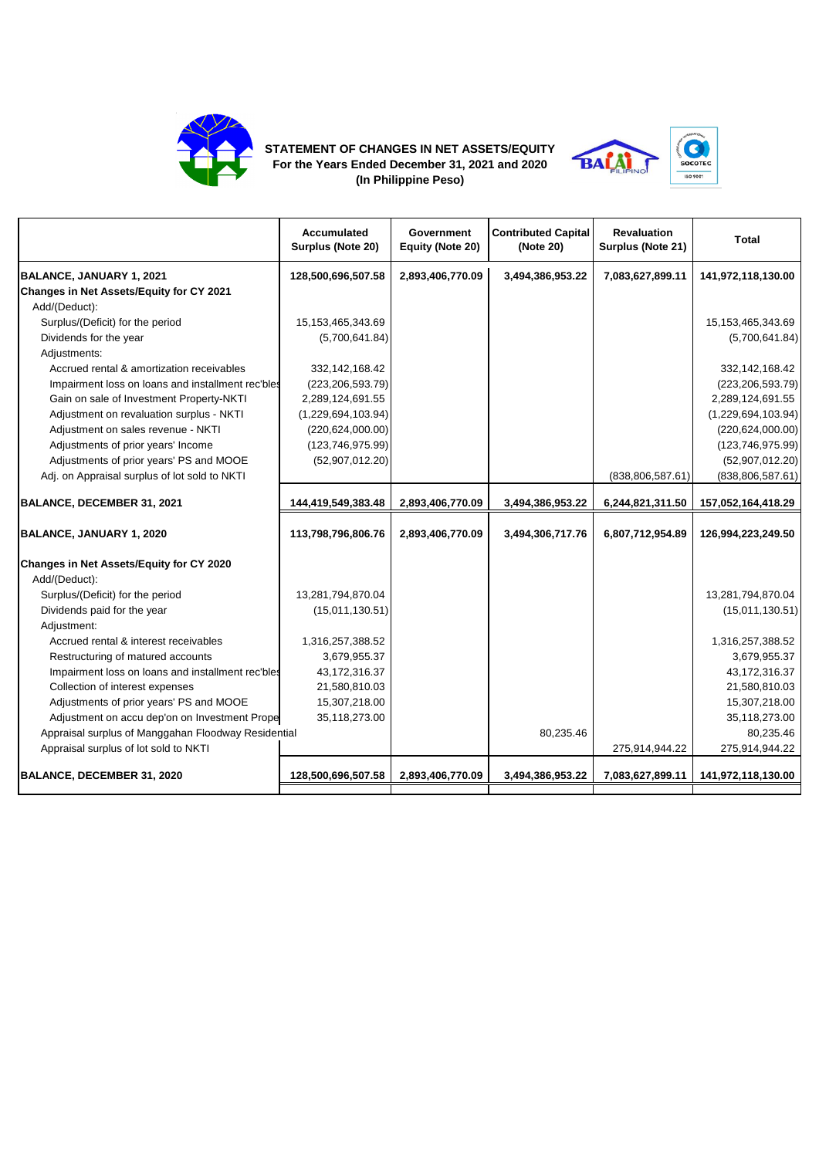

## **STATEMENT OF CHANGES IN NET ASSETS/EQUITY For the Years Ended December 31, 2021 and 2020 (In Philippine Peso)**



|                                                     | <b>Accumulated</b><br>Surplus (Note 20) | Government<br>Equity (Note 20) | <b>Contributed Capital</b><br>(Note 20) | <b>Revaluation</b><br>Surplus (Note 21) | <b>Total</b>          |
|-----------------------------------------------------|-----------------------------------------|--------------------------------|-----------------------------------------|-----------------------------------------|-----------------------|
| BALANCE, JANUARY 1, 2021                            | 128,500,696,507.58                      | 2,893,406,770.09               | 3,494,386,953.22                        | 7,083,627,899.11                        | 141,972,118,130.00    |
| Changes in Net Assets/Equity for CY 2021            |                                         |                                |                                         |                                         |                       |
| Add/(Deduct):                                       |                                         |                                |                                         |                                         |                       |
| Surplus/(Deficit) for the period                    | 15,153,465,343.69                       |                                |                                         |                                         | 15, 153, 465, 343. 69 |
| Dividends for the year                              | (5,700,641.84)                          |                                |                                         |                                         | (5,700,641.84)        |
| Adjustments:                                        |                                         |                                |                                         |                                         |                       |
| Accrued rental & amortization receivables           | 332,142,168.42                          |                                |                                         |                                         | 332,142,168.42        |
| Impairment loss on loans and installment rec'bles   | (223, 206, 593.79)                      |                                |                                         |                                         | (223, 206, 593.79)    |
| Gain on sale of Investment Property-NKTI            | 2,289,124,691.55                        |                                |                                         |                                         | 2,289,124,691.55      |
| Adjustment on revaluation surplus - NKTI            | (1,229,694,103.94)                      |                                |                                         |                                         | (1,229,694,103.94)    |
| Adjustment on sales revenue - NKTI                  | (220, 624, 000.00)                      |                                |                                         |                                         | (220, 624, 000.00)    |
| Adjustments of prior years' Income                  | (123, 746, 975.99)                      |                                |                                         |                                         | (123, 746, 975.99)    |
| Adjustments of prior years' PS and MOOE             | (52,907,012.20)                         |                                |                                         |                                         | (52,907,012.20)       |
| Adj. on Appraisal surplus of lot sold to NKTI       |                                         |                                |                                         | (838, 806, 587.61)                      | (838, 806, 587.61)    |
| BALANCE, DECEMBER 31, 2021                          | 144,419,549,383.48                      | 2,893,406,770.09               | 3,494,386,953.22                        | 6,244,821,311.50                        | 157,052,164,418.29    |
| BALANCE, JANUARY 1, 2020                            | 113,798,796,806.76                      | 2,893,406,770.09               | 3,494,306,717.76                        | 6,807,712,954.89                        | 126,994,223,249.50    |
| Changes in Net Assets/Equity for CY 2020            |                                         |                                |                                         |                                         |                       |
| Add/(Deduct):                                       |                                         |                                |                                         |                                         |                       |
| Surplus/(Deficit) for the period                    | 13,281,794,870.04                       |                                |                                         |                                         | 13,281,794,870.04     |
| Dividends paid for the year                         | (15,011,130.51)                         |                                |                                         |                                         | (15,011,130.51)       |
| Adjustment:                                         |                                         |                                |                                         |                                         |                       |
| Accrued rental & interest receivables               | 1,316,257,388.52                        |                                |                                         |                                         | 1,316,257,388.52      |
| Restructuring of matured accounts                   | 3,679,955.37                            |                                |                                         |                                         | 3,679,955.37          |
| Impairment loss on loans and installment rec'bles   | 43,172,316.37                           |                                |                                         |                                         | 43, 172, 316. 37      |
| Collection of interest expenses                     | 21,580,810.03                           |                                |                                         |                                         | 21,580,810.03         |
| Adjustments of prior years' PS and MOOE             | 15,307,218.00                           |                                |                                         |                                         | 15,307,218.00         |
| Adjustment on accu dep'on on Investment Prope       | 35,118,273.00                           |                                |                                         |                                         | 35,118,273.00         |
| Appraisal surplus of Manggahan Floodway Residential |                                         |                                | 80,235.46                               |                                         | 80,235.46             |
| Appraisal surplus of lot sold to NKTI               |                                         |                                |                                         | 275,914,944.22                          | 275,914,944.22        |
| BALANCE, DECEMBER 31, 2020                          | 128,500,696,507.58                      | 2,893,406,770.09               | 3,494,386,953.22                        | 7,083,627,899.11                        | 141,972,118,130.00    |